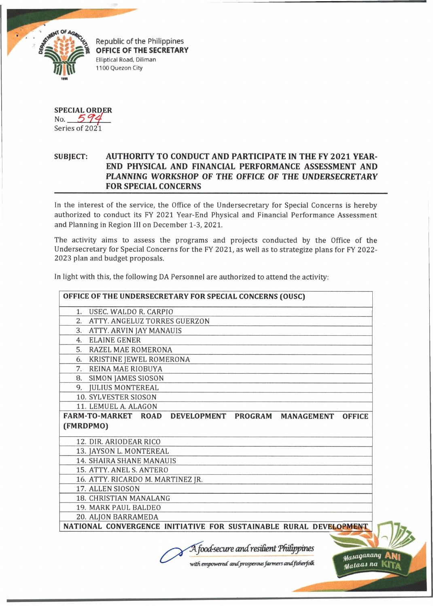

Republic of the Philippines **OFFICE OF THE SECRETARY** Elliptical Road, Diliman 1100 Quezon City

SPECIAL ORDER No.  $594$ Series of 2021

## **SUBJECT: AUTHORITY TO CONDUCT AND PARTICIPATE IN THE FY 2021 YEAR-END PHYSICAL AND FINANCIAL PERFORMANCE ASSESSMENT AND PLANNING WORKSHOP OF THE** *OFFICE OF* **THE UNDERSECRETARY FOR SPECIAL CONCERNS**

In the interest of the service, the Office of the Undersecretary for Special Concerns is hereby authorized to conduct its FY 2021 Year-End Physical and Financial Performance Assessment and Planning in Region III on December 1-3, 2021.

The activity aims to assess the programs and projects conducted by the Office of the Undersecretary for Special Concerns for the FY 2021, as well as to strategize plans for FY 2022- 2023 plan and budget proposals.

In light with this, the following DA Personnel are authorized to attend the activity:

| 1. USEC. WALDO R. CARPIO                                                      |
|-------------------------------------------------------------------------------|
| 2. ATTY. ANGELUZ TORRES GUERZON                                               |
| 3. ATTY. ARVIN JAY MANAUIS                                                    |
| 4. ELAINE GENER                                                               |
| 5. RAZEL MAE ROMERONA                                                         |
| 6. KRISTINE JEWEL ROMERONA                                                    |
| 7. REINA MAE RIOBUYA                                                          |
| 8. SIMON JAMES SIOSON                                                         |
| 9. JULIUS MONTEREAL                                                           |
| 10. SYLVESTER SIOSON                                                          |
| 11. LEMUEL A. ALAGON                                                          |
| FARM-TO-MARKET ROAD DEVELOPMENT PROGRAM<br><b>MANAGEMENT</b><br><b>OFFICE</b> |
|                                                                               |
| (FMRDPMO)                                                                     |
|                                                                               |
| 12. DIR. ARIODEAR RICO                                                        |
| 13. JAYSON L. MONTEREAL                                                       |
| <b>14. SHAIRA SHANE MANAUIS</b>                                               |
| 15. ATTY. ANEL S. ANTERO                                                      |
| 16. ATTY. RICARDO M. MARTINEZ JR.<br>17. ALLEN SIOSON                         |
| 18. CHRISTIAN MANALANG                                                        |
| 19. MARK PAUL BALDEO                                                          |
| 20. ALJON BARRAMEDA                                                           |

*food-secure cmcCresiGent TfuGppims*

*■with empowered andjmosperousfarmers andfisherfodk*

*y(i\*a9anany* **AN!**  $y_4$ taas na